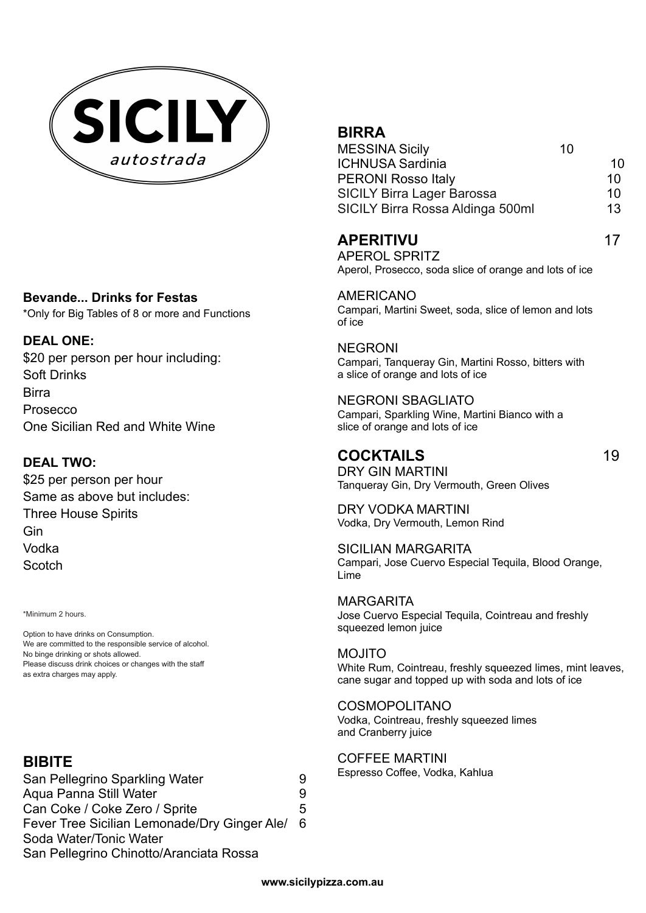

#### **Bevande... Drinks for Festas**

\*Only for Big Tables of 8 or more and Functions

### **DEAL ONE:**

\$20 per person per hour including: Soft Drinks Birra Prosecco One Sicilian Red and White Wine

## **DEAL TWO:**

\$25 per person per hour Same as above but includes: Three House Spirits Gin Vodka **Scotch** 

\*Minimum 2 hours.

Option to have drinks on Consumption. We are committed to the responsible service of alcohol. No binge drinking or shots allowed. Please discuss drink choices or changes with the staff as extra charges may apply.

## **BIBITE**

San Pellegrino Sparkling Water 9 Aqua Panna Still Water **9** Can Coke / Coke Zero / Sprite 5 Fever Tree Sicilian Lemonade/Dry Ginger Ale/ 6 Soda Water/Tonic Water San Pellegrino Chinotto/Aranciata Rossa

# **BIRRA**

| <b>MESSINA Sicily</b>             | 10 |    |
|-----------------------------------|----|----|
| <b>ICHNUSA Sardinia</b>           |    | 10 |
| <b>PERONI Rosso Italy</b>         |    | 10 |
| <b>SICILY Birra Lager Barossa</b> |    | 10 |
| SICILY Birra Rossa Aldinga 500ml  |    | 13 |

## **APERITIVU** 17

APEROL SPRITZ Aperol, Prosecco, soda slice of orange and lots of ice

AMERICANO Campari, Martini Sweet, soda, slice of lemon and lots of ice

# NEGRONI

Campari, Tanqueray Gin, Martini Rosso, bitters with a slice of orange and lots of ice

# NEGRONI SBAGLIATO

Campari, Sparkling Wine, Martini Bianco with a slice of orange and lots of ice

# **COCKTAILS** 19

DRY GIN MARTINI Tanqueray Gin, Dry Vermouth, Green Olives

DRY VODKA MARTINI Vodka, Dry Vermouth, Lemon Rind

SICILIAN MARGARITA Campari, Jose Cuervo Especial Tequila, Blood Orange, Lime

MARGARITA Jose Cuervo Especial Tequila, Cointreau and freshly squeezed lemon juice

MOJITO White Rum, Cointreau, freshly squeezed limes, mint leaves, cane sugar and topped up with soda and lots of ice

#### COSMOPOLITANO

Vodka, Cointreau, freshly squeezed limes and Cranberry juice

COFFEE MARTINI Espresso Coffee, Vodka, Kahlua